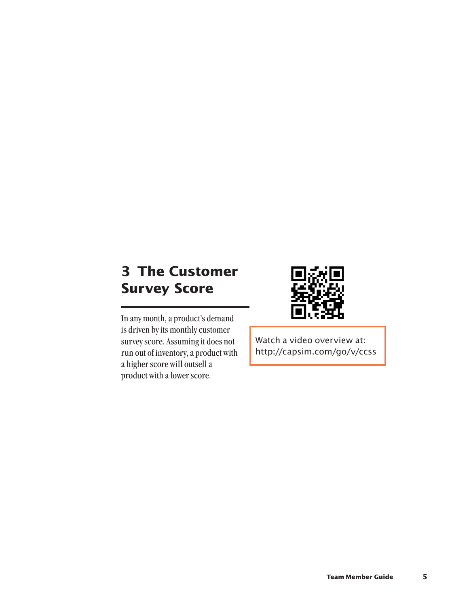# **3 The Customer Survey Score**



In any month, a product's demand is driven by its monthly customer survey score. Assuming it does not run out of inventory, a product with a higher score will outsell a product with a lower score.

Watch a video overview at: http://capsim.com/go/v/ccss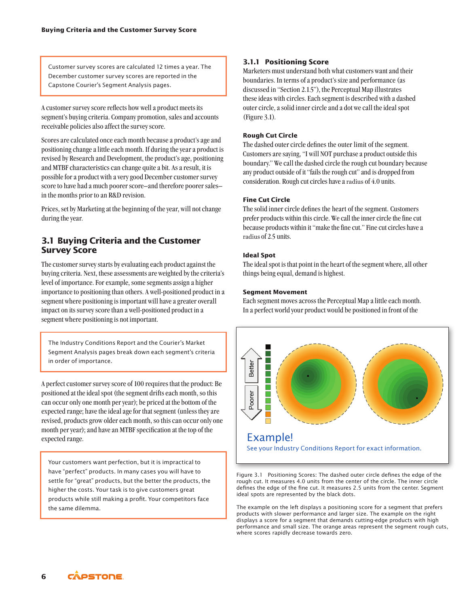Customer survey scores are calculated 12 times a year. The December customer survey scores are reported in the Capstone Courier's Segment Analysis pages.

A customer survey score reflects how well a product meets its segment's buying criteria. Company promotion, sales and accounts receivable policies also affect the survey score.

Scores are calculated once each month because a product's age and positioning change a little each month. If during the year a product is revised by Research and Development, the product's age, positioning and MTBF characteristics can change quite a bit. As a result, it is possible for a product with a very good December customer survey score to have had a much poorer score–and therefore poorer sales– in the months prior to an R&D revision.

Prices, set by Marketing at the beginning of the year, will not change during the year.

# **3.1 Buying Criteria and the Customer Survey Score**

The customer survey starts by evaluating each product against the buying criteria. Next, these assessments are weighted by the criteria's level of importance. For example, some segments assign a higher importance to positioning than others. A well-positioned product in a segment where positioning is important will have a greater overall impact on its survey score than a well-positioned product in a segment where positioning is not important.

The Industry Conditions Report and the Courier's Market Segment Analysis pages break down each segment's criteria in order of importance.

A perfect customer survey score of 100 requires that the product: Be positioned at the ideal spot (the segment drifts each month, so this can occur only one month per year); be priced at the bottom of the expected range; have the ideal age for that segment (unless they are revised, products grow older each month, so this can occur only one month per year); and have an MTBF specification at the top of the expected range.

Your customers want perfection, but it is impractical to have "perfect" products. In many cases you will have to settle for "great" products, but the better the products, the higher the costs. Your task is to give customers great products while still making a profit. Your competitors face the same dilemma.

# **3.1.1 Positioning Score**

Marketers must understand both what customers want and their boundaries. In terms of a product's size and performance (as discussed in "Section 2.1.5"), the Perceptual Map illustrates these ideas with circles. Each segment is described with a dashed outer circle, a solid inner circle and a dot we call the ideal spot (Figure 3.1).

#### **Rough Cut Circle**

The dashed outer circle defines the outer limit of the segment. Customers are saying, "I will NOT purchase a product outside this boundary." We call the dashed circle the rough cut boundary because any product outside of it "fails the rough cut" and is dropped from consideration. Rough cut circles have a radius of 4.0 units.

#### **Fine Cut Circle**

The solid inner circle defines the heart of the segment. Customers prefer products within this circle. We call the inner circle the fine cut because products within it "make the fine cut." Fine cut circles have a radius of 2.5 units.

#### **Ideal Spot**

The ideal spot is that point in the heart of the segment where, all other things being equal, demand is highest.

#### **Segment Movement**

Each segment moves across the Perceptual Map a little each month. In a perfect world your product would be positioned in front of the



Figure 3.1 Positioning Scores: The dashed outer circle defines the edge of the rough cut. It measures 4.0 units from the center of the circle. The inner circle defines the edge of the fine cut. It measures 2.5 units from the center. Segment ideal spots are represented by the black dots.

The example on the left displays a positioning score for a segment that prefers products with slower performance and larger size. The example on the right displays a score for a segment that demands cutting-edge products with high performance and small size. The orange areas represent the segment rough cuts, where scores rapidly decrease towards zero.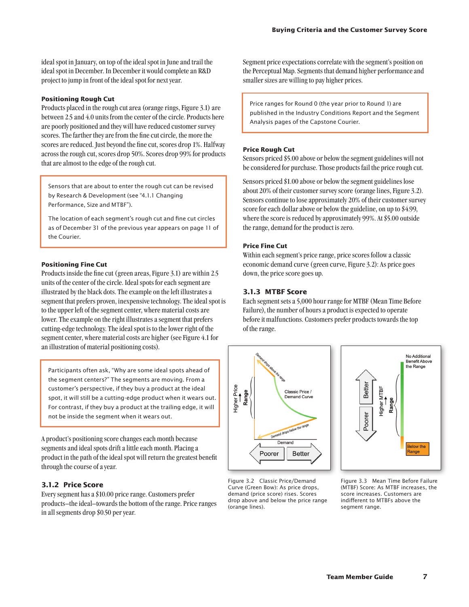ideal spot in January, on top of the ideal spot in June and trail the ideal spot in December. In December it would complete an R&D project to jump in front of the ideal spot for next year.

#### **Positioning Rough Cut**

Products placed in the rough cut area (orange rings, Figure 3.1) are between 2.5 and 4.0 units from the center of the circle. Products here are poorly positioned and they will have reduced customer survey scores. The farther they are from the fine cut circle, the more the scores are reduced. Just beyond the fine cut, scores drop 1%. Halfway across the rough cut, scores drop 50%. Scores drop 99% for products that are almost to the edge of the rough cut.

Sensors that are about to enter the rough cut can be revised by Research & Development (see "4.1.1 Changing Performance, Size and MTBF").

The location of each segment's rough cut and fine cut circles as of December 31 of the previous year appears on page 11 of the Courier.

#### **Positioning Fine Cut**

Products inside the fine cut (green areas, Figure 3.1) are within 2.5 units of the center of the circle. Ideal spots for each segment are illustrated by the black dots. The example on the left illustrates a segment that prefers proven, inexpensive technology. The ideal spot is to the upper left of the segment center, where material costs are lower. The example on the right illustrates a segment that prefers cutting-edge technology. The ideal spot is to the lower right of the segment center, where material costs are higher (see Figure 4.1 for an illustration of material positioning costs).

Participants often ask, "Why are some ideal spots ahead of the segment centers?" The segments are moving. From a customer's perspective, if they buy a product at the ideal spot, it will still be a cutting-edge product when it wears out. For contrast, if they buy a product at the trailing edge, it will not be inside the segment when it wears out.

A product's positioning score changes each month because segments and ideal spots drift a little each month. Placing a product in the path of the ideal spot will return the greatest benefit through the course of a year.

#### **3.1.2 Price Score**

Every segment has a \$10.00 price range. Customers prefer products–the ideal–towards the bottom of the range. Price ranges in all segments drop \$0.50 per year.

Segment price expectations correlate with the segment's position on the Perceptual Map. Segments that demand higher performance and smaller sizes are willing to pay higher prices.

Price ranges for Round 0 (the year prior to Round 1) are published in the Industry Conditions Report and the Segment Analysis pages of the Capstone Courier.

#### **Price Rough Cut**

Sensors priced \$5.00 above or below the segment guidelines will not be considered for purchase. Those products fail the price rough cut.

Sensors priced \$1.00 above or below the segment guidelines lose about 20% of their customer survey score (orange lines, Figure 3.2). Sensors continue to lose approximately 20% of their customer survey score for each dollar above or below the guideline, on up to \$4.99, where the score is reduced by approximately 99%. At \$5.00 outside the range, demand for the product is zero.

#### **Price Fine Cut**

Within each segment's price range, price scores follow a classic economic demand curve (green curve, Figure 3.2): As price goes down, the price score goes up.

#### **3.1.3 MTBF Score**

Each segment sets a 5,000 hour range for MTBF (Mean Time Before Failure), the number of hours a product is expected to operate before it malfunctions. Customers prefer products towards the top of the range.





Figure 3.2 Classic Price/Demand Curve (Green Bow): As price drops, demand (price score) rises. Scores drop above and below the price range (orange lines).

Figure 3.3 Mean Time Before Failure (MTBF) Score: As MTBF increases, the score increases. Customers are indifferent to MTBFs above the segment range.

**7**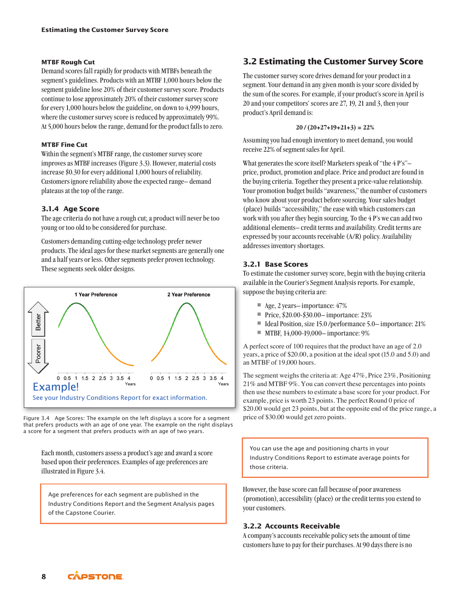#### **MTBF Rough Cut**

Demand scores fall rapidly for products with MTBFs beneath the segment's guidelines. Products with an MTBF 1,000 hours below the segment guideline lose 20% of their customer survey score. Products continue to lose approximately 20% of their customer survey score for every 1,000 hours below the guideline, on down to 4,999 hours, where the customer survey score is reduced by approximately 99%. At 5,000 hours below the range, demand for the product falls to zero.

#### **MTBF Fine Cut**

Within the segment's MTBF range, the customer survey score improves as MTBF increases (Figure 3.3). However, material costs increase \$0.30 for every additional 1,000 hours of reliability. Customers ignore reliability above the expected range– demand plateaus at the top of the range.

#### **3.1.4 Age Score**

The age criteria do not have a rough cut; a product will never be too young or too old to be considered for purchase.

Customers demanding cutting-edge technology prefer newer products. The ideal ages for these market segments are generally one and a half years or less. Other segments prefer proven technology. These segments seek older designs.



Figure 3.4 Age Scores: The example on the left displays a score for a segment that prefers products with an age of one year. The example on the right displays a score for a segment that prefers products with an age of two years.

Each month, customers assess a product'sage and award a score based upon their preferences. Examples of age preferences are illustrated in Figure 3.4.

Age preferences for each segment are published in the Industry Conditions Report and the Segment Analysis pages of the Capstone Courier.

# **3.2 Estimating the Customer Survey Score**

The customer survey score drives demand for your product in a segment. Your demand in any given month is your score divided by the sum of the scores. For example, if your product's score in April is 20 and your competitors' scores are 27, 19, 21 and 3, then your product's April demand is:

#### **20 / (20+27+19+21+3) = 22%**

Assuming you had enough inventory to meet demand, you would receive 22% of segment sales for April.

What generates the score itself? Marketers speak of "the 4 P's"– price, product, promotion and place. Price and product are found in the buying criteria. Together they present a price-value relationship. Your promotion budget builds "awareness," the number of customers who know about your product before sourcing. Your sales budget (place) builds "accessibility," the ease with which customers can work with you after they begin sourcing. To the 4 P's we can add two additional elements– credit terms and availability. Credit terms are expressed by your accounts receivable (A/R) policy. Availability addresses inventory shortages.

#### **3.2.1 Base Scores**

To estimate the customer survey score, begin with the buying criteria available in the Courier's Segment Analysis reports. For example, suppose the buying criteria are:

- Age, 2 years– importance: 47%
- **•** Price, \$20.00-\$30.00-importance: 23%
- Ideal Position, size 15.0 /performance 5.0– importance: 21%
- MTBF, 14,000-19,000– importance: 9%

A perfect score of 100 requires that the product have an age of 2.0 years, a price of \$20.00, a position at the ideal spot (15.0 and 5.0) and an MTBF of 19,000 hours.

The segment weighs the criteria at: Age 47%, Price 23%, Positioning 21% and MTBF 9%. You can convert these percentages into points then use these numbers to estimate a base score for your product. For example, price is worth 23 points. The perfect Round 0 price of \$20.00 would get 23 points, but at the opposite end of the price range, a price of \$30.00 would get zero points.

You can use the age and positioning charts in your Industry Conditions Report to estimate average points for those criteria.

However, the base score can fall because of poor awareness (promotion), accessibility (place) or the credit terms you extend to your customers.

# **3.2.2 Accounts Receivable**

A company's accounts receivable policy sets the amount of time customers have to pay for their purchases. At 90 days there is no